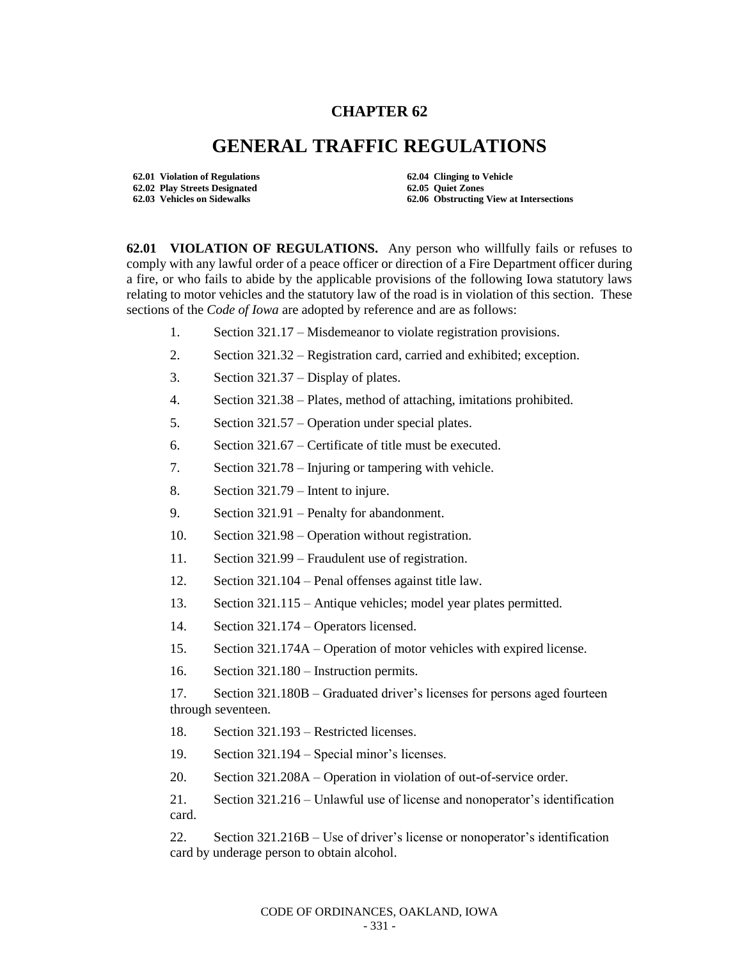## **CHAPTER 62**

## **GENERAL TRAFFIC REGULATIONS**

**62.01 Violation of Regulations 62.04 Clinging to Vehicle 62.02 Play Streets Designated 62.05 Quiet Zones**

**62.06 Obstructing View at Intersections** 

**62.01 VIOLATION OF REGULATIONS.** Any person who willfully fails or refuses to comply with any lawful order of a peace officer or direction of a Fire Department officer during a fire, or who fails to abide by the applicable provisions of the following Iowa statutory laws relating to motor vehicles and the statutory law of the road is in violation of this section. These sections of the *Code of Iowa* are adopted by reference and are as follows:

- 1. Section 321.17 Misdemeanor to violate registration provisions.
- 2. Section 321.32 Registration card, carried and exhibited; exception.
- 3. Section 321.37 Display of plates.
- 4. Section 321.38 Plates, method of attaching, imitations prohibited.
- 5. Section 321.57 Operation under special plates.
- 6. Section 321.67 Certificate of title must be executed.
- 7. Section 321.78 Injuring or tampering with vehicle.
- 8. Section 321.79 Intent to injure.
- 9. Section 321.91 Penalty for abandonment.
- 10. Section 321.98 Operation without registration.
- 11. Section 321.99 Fraudulent use of registration.
- 12. Section 321.104 Penal offenses against title law.
- 13. Section 321.115 Antique vehicles; model year plates permitted.
- 14. Section 321.174 Operators licensed.
- 15. Section 321.174A Operation of motor vehicles with expired license.
- 16. Section 321.180 Instruction permits.

17. Section 321.180B – Graduated driver's licenses for persons aged fourteen through seventeen.

- 18. Section 321.193 Restricted licenses.
- 19. Section 321.194 Special minor's licenses.
- 20. Section 321.208A Operation in violation of out-of-service order.

21. Section 321.216 – Unlawful use of license and nonoperator's identification card.

22. Section 321.216B – Use of driver's license or nonoperator's identification card by underage person to obtain alcohol.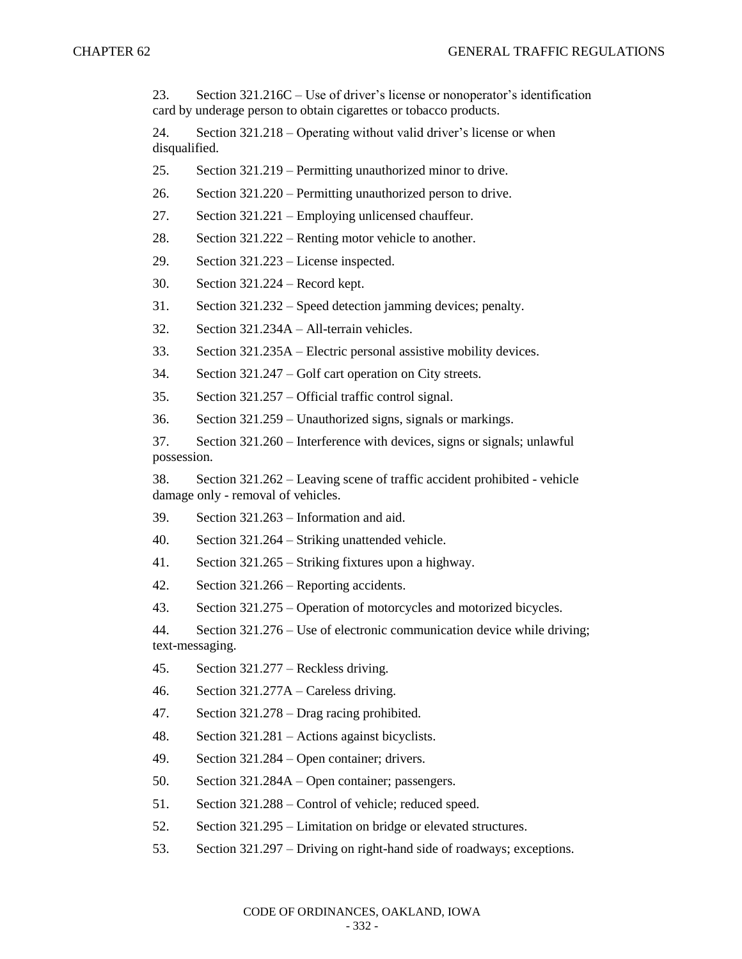23. Section 321.216C – Use of driver's license or nonoperator's identification card by underage person to obtain cigarettes or tobacco products.

24. Section 321.218 – Operating without valid driver's license or when disqualified.

25. Section 321.219 – Permitting unauthorized minor to drive.

26. Section 321.220 – Permitting unauthorized person to drive.

27. Section 321.221 – Employing unlicensed chauffeur.

28. Section 321.222 – Renting motor vehicle to another.

29. Section 321.223 – License inspected.

30. Section 321.224 – Record kept.

31. Section 321.232 – Speed detection jamming devices; penalty.

32. Section 321.234A – All-terrain vehicles.

33. Section 321.235A – Electric personal assistive mobility devices.

34. Section 321.247 – Golf cart operation on City streets.

35. Section 321.257 – Official traffic control signal.

36. Section 321.259 – Unauthorized signs, signals or markings.

37. Section 321.260 – Interference with devices, signs or signals; unlawful possession.

38. Section 321.262 – Leaving scene of traffic accident prohibited - vehicle damage only - removal of vehicles.

39. Section 321.263 – Information and aid.

40. Section 321.264 – Striking unattended vehicle.

41. Section 321.265 – Striking fixtures upon a highway.

42. Section 321.266 – Reporting accidents.

43. Section 321.275 – Operation of motorcycles and motorized bicycles.

44. Section 321.276 – Use of electronic communication device while driving; text-messaging.

45. Section 321.277 – Reckless driving.

46. Section 321.277A – Careless driving.

47. Section 321.278 – Drag racing prohibited.

48. Section 321.281 – Actions against bicyclists.

49. Section 321.284 – Open container; drivers.

50. Section 321.284A – Open container; passengers.

51. Section 321.288 – Control of vehicle; reduced speed.

52. Section 321.295 – Limitation on bridge or elevated structures.

53. Section 321.297 – Driving on right-hand side of roadways; exceptions.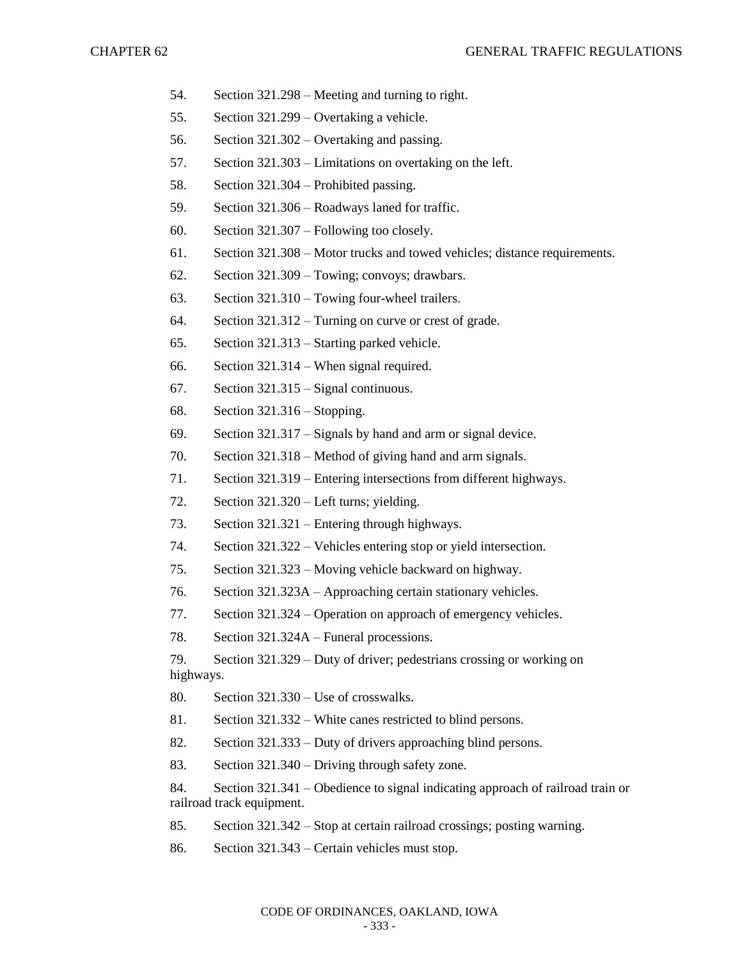- 54. Section 321.298 Meeting and turning to right.
- 55. Section 321.299 Overtaking a vehicle.
- 56. Section 321.302 Overtaking and passing.
- 57. Section 321.303 Limitations on overtaking on the left.
- 58. Section 321.304 Prohibited passing.
- 59. Section 321.306 Roadways laned for traffic.
- 60. Section 321.307 Following too closely.
- 61. Section 321.308 Motor trucks and towed vehicles; distance requirements.
- 62. Section 321.309 Towing; convoys; drawbars.
- 63. Section 321.310 Towing four-wheel trailers.
- 64. Section 321.312 Turning on curve or crest of grade.
- 65. Section 321.313 Starting parked vehicle.
- 66. Section 321.314 When signal required.
- 67. Section 321.315 Signal continuous.
- 68. Section 321.316 Stopping.
- 69. Section 321.317 Signals by hand and arm or signal device.
- 70. Section 321.318 Method of giving hand and arm signals.
- 71. Section 321.319 Entering intersections from different highways.
- 72. Section 321.320 Left turns; yielding.
- 73. Section 321.321 Entering through highways.
- 74. Section 321.322 Vehicles entering stop or yield intersection.
- 75. Section 321.323 Moving vehicle backward on highway.
- 76. Section 321.323A Approaching certain stationary vehicles.
- 77. Section 321.324 Operation on approach of emergency vehicles.
- 78. Section 321.324A Funeral processions.

79. Section 321.329 – Duty of driver; pedestrians crossing or working on highways.

- 80. Section 321.330 Use of crosswalks.
- 81. Section 321.332 White canes restricted to blind persons.
- 82. Section 321.333 Duty of drivers approaching blind persons.
- 83. Section 321.340 Driving through safety zone.

84. Section 321.341 – Obedience to signal indicating approach of railroad train or railroad track equipment.

- 85. Section 321.342 Stop at certain railroad crossings; posting warning.
- 86. Section 321.343 Certain vehicles must stop.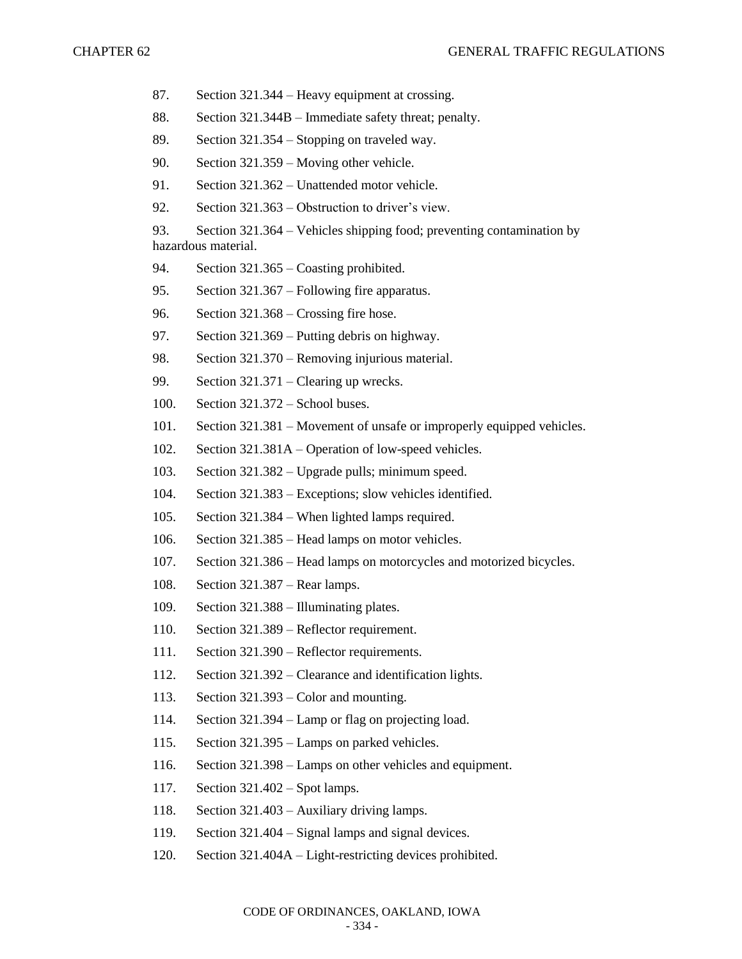- 87. Section 321.344 Heavy equipment at crossing.
- 88. Section 321.344B Immediate safety threat; penalty.
- 89. Section 321.354 Stopping on traveled way.
- 90. Section 321.359 Moving other vehicle.
- 91. Section 321.362 Unattended motor vehicle.
- 92. Section 321.363 Obstruction to driver's view.
- 93. Section 321.364 Vehicles shipping food; preventing contamination by hazardous material.
- 94. Section 321.365 Coasting prohibited.
- 95. Section 321.367 Following fire apparatus.
- 96. Section 321.368 Crossing fire hose.
- 97. Section 321.369 Putting debris on highway.
- 98. Section 321.370 Removing injurious material.
- 99. Section 321.371 Clearing up wrecks.
- 100. Section 321.372 School buses.
- 101. Section 321.381 Movement of unsafe or improperly equipped vehicles.
- 102. Section 321.381A Operation of low-speed vehicles.
- 103. Section 321.382 Upgrade pulls; minimum speed.
- 104. Section 321.383 Exceptions; slow vehicles identified.
- 105. Section 321.384 When lighted lamps required.
- 106. Section 321.385 Head lamps on motor vehicles.
- 107. Section 321.386 Head lamps on motorcycles and motorized bicycles.
- 108. Section 321.387 Rear lamps.
- 109. Section 321.388 Illuminating plates.
- 110. Section 321.389 Reflector requirement.
- 111. Section 321.390 Reflector requirements.
- 112. Section 321.392 Clearance and identification lights.
- 113. Section 321.393 Color and mounting.
- 114. Section 321.394 Lamp or flag on projecting load.
- 115. Section 321.395 Lamps on parked vehicles.
- 116. Section 321.398 Lamps on other vehicles and equipment.
- 117. Section 321.402 Spot lamps.
- 118. Section 321.403 Auxiliary driving lamps.
- 119. Section 321.404 Signal lamps and signal devices.
- 120. Section 321.404A Light-restricting devices prohibited.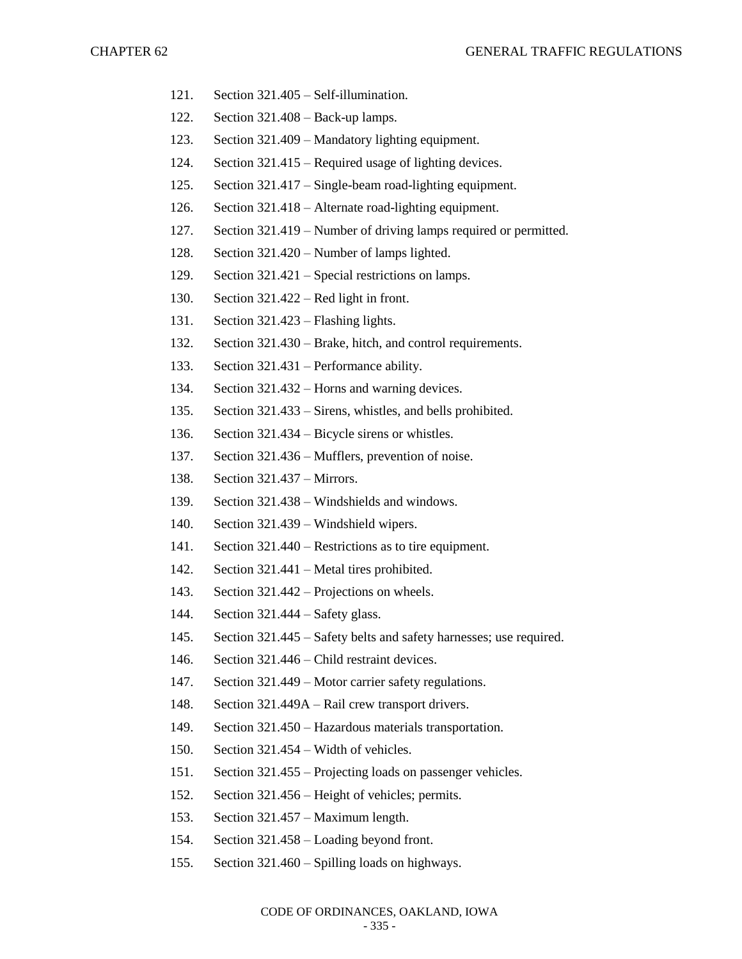- 121. Section 321.405 Self-illumination.
- 122. Section 321.408 Back-up lamps.
- 123. Section 321.409 Mandatory lighting equipment.
- 124. Section 321.415 Required usage of lighting devices.
- 125. Section 321.417 Single-beam road-lighting equipment.
- 126. Section 321.418 Alternate road-lighting equipment.
- 127. Section 321.419 Number of driving lamps required or permitted.
- 128. Section 321.420 Number of lamps lighted.
- 129. Section 321.421 Special restrictions on lamps.
- 130. Section 321.422 Red light in front.
- 131. Section 321.423 Flashing lights.
- 132. Section 321.430 Brake, hitch, and control requirements.
- 133. Section 321.431 Performance ability.
- 134. Section 321.432 Horns and warning devices.
- 135. Section 321.433 Sirens, whistles, and bells prohibited.
- 136. Section 321.434 Bicycle sirens or whistles.
- 137. Section 321.436 Mufflers, prevention of noise.
- 138. Section 321.437 Mirrors.
- 139. Section 321.438 Windshields and windows.
- 140. Section 321.439 Windshield wipers.
- 141. Section 321.440 Restrictions as to tire equipment.
- 142. Section 321.441 Metal tires prohibited.
- 143. Section 321.442 Projections on wheels.
- 144. Section 321.444 Safety glass.
- 145. Section 321.445 Safety belts and safety harnesses; use required.
- 146. Section 321.446 Child restraint devices.
- 147. Section 321.449 Motor carrier safety regulations.
- 148. Section 321.449A Rail crew transport drivers.
- 149. Section 321.450 Hazardous materials transportation.
- 150. Section 321.454 Width of vehicles.
- 151. Section 321.455 Projecting loads on passenger vehicles.
- 152. Section 321.456 Height of vehicles; permits.
- 153. Section 321.457 Maximum length.
- 154. Section 321.458 Loading beyond front.
- 155. Section 321.460 Spilling loads on highways.